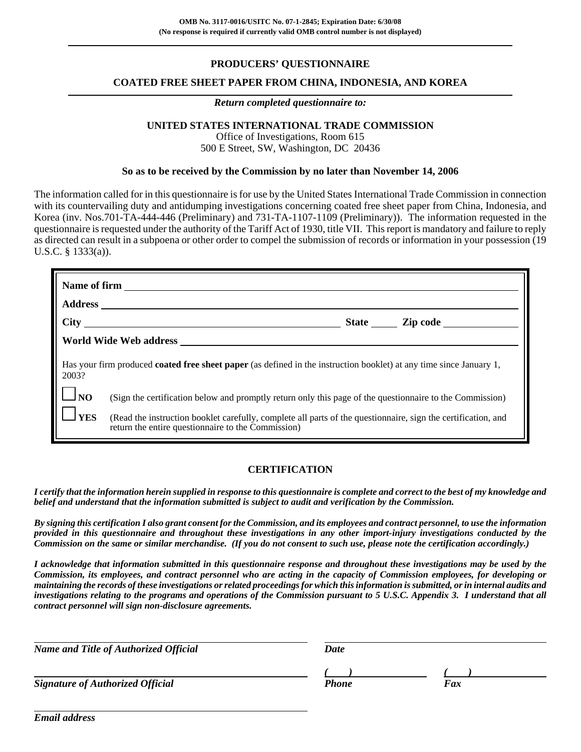## **PRODUCERS' QUESTIONNAIRE**

### **COATED FREE SHEET PAPER FROM CHINA, INDONESIA, AND KOREA**

#### *Return completed questionnaire to:*

## **UNITED STATES INTERNATIONAL TRADE COMMISSION**

Office of Investigations, Room 615 500 E Street, SW, Washington, DC 20436

### **So as to be received by the Commission by no later than November 14, 2006**

The information called for in this questionnaire is for use by the United States International Trade Commission in connection with its countervailing duty and antidumping investigations concerning coated free sheet paper from China, Indonesia, and Korea (inv. Nos.701-TA-444-446 (Preliminary) and 731-TA-1107-1109 (Preliminary)). The information requested in the questionnaire is requested under the authority of the Tariff Act of 1930, title VII. This report is mandatory and failure to reply as directed can result in a subpoena or other order to compel the submission of records or information in your possession (19 U.S.C. § 1333(a)).

|                      | Name of firm                                                                                                                                                        |
|----------------------|---------------------------------------------------------------------------------------------------------------------------------------------------------------------|
|                      |                                                                                                                                                                     |
|                      |                                                                                                                                                                     |
|                      |                                                                                                                                                                     |
| 2003?                | Has your firm produced <b>coated free sheet paper</b> (as defined in the instruction booklet) at any time since January 1,                                          |
| $\vert \ \vert_{NO}$ | (Sign the certification below and promptly return only this page of the questionnaire to the Commission)                                                            |
| <b>YES</b>           | (Read the instruction booklet carefully, complete all parts of the questionnaire, sign the certification, and<br>return the entire questionnaire to the Commission) |

## **CERTIFICATION**

*I certify that the information herein supplied in response to this questionnaire is complete and correct to the best of my knowledge and belief and understand that the information submitted is subject to audit and verification by the Commission.*

*By signing this certification I also grant consent for the Commission, and its employees and contract personnel, to use the information provided in this questionnaire and throughout these investigations in any other import-injury investigations conducted by the Commission on the same or similar merchandise. (If you do not consent to such use, please note the certification accordingly.)*

*I acknowledge that information submitted in this questionnaire response and throughout these investigations may be used by the Commission, its employees, and contract personnel who are acting in the capacity of Commission employees, for developing or maintaining the records of these investigations or related proceedings for which this information is submitted, or in internal audits and investigations relating to the programs and operations of the Commission pursuant to 5 U.S.C. Appendix 3. I understand that all contract personnel will sign non-disclosure agreements.*

| Date |              |
|------|--------------|
|      | Fax          |
|      | <b>Phone</b> |

*Email address*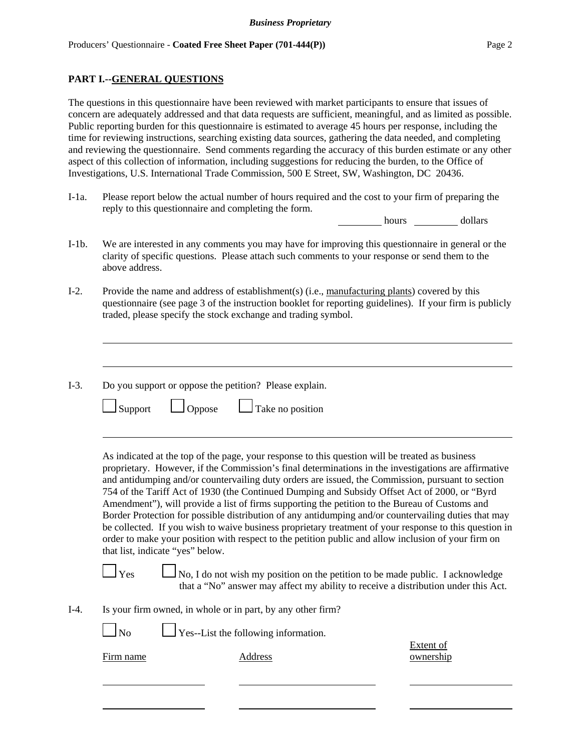### **PART I.--GENERAL QUESTIONS**

The questions in this questionnaire have been reviewed with market participants to ensure that issues of concern are adequately addressed and that data requests are sufficient, meaningful, and as limited as possible. Public reporting burden for this questionnaire is estimated to average 45 hours per response, including the time for reviewing instructions, searching existing data sources, gathering the data needed, and completing and reviewing the questionnaire. Send comments regarding the accuracy of this burden estimate or any other aspect of this collection of information, including suggestions for reducing the burden, to the Office of Investigations, U.S. International Trade Commission, 500 E Street, SW, Washington, DC 20436.

I-1a. Please report below the actual number of hours required and the cost to your firm of preparing the reply to this questionnaire and completing the form.

hours dollars

- I-1b. We are interested in any comments you may have for improving this questionnaire in general or the clarity of specific questions. Please attach such comments to your response or send them to the above address.
- I-2. Provide the name and address of establishment(s) (i.e., manufacturing plants) covered by this questionnaire (see page 3 of the instruction booklet for reporting guidelines). If your firm is publicly traded, please specify the stock exchange and trading symbol.
- I-3. Do you support or oppose the petition? Please explain.

| $\Box$ Support<br>$\Box$ Oppose | $\Box$ Take no position |
|---------------------------------|-------------------------|
|---------------------------------|-------------------------|

As indicated at the top of the page, your response to this question will be treated as business proprietary. However, if the Commission's final determinations in the investigations are affirmative and antidumping and/or countervailing duty orders are issued, the Commission, pursuant to section 754 of the Tariff Act of 1930 (the Continued Dumping and Subsidy Offset Act of 2000, or "Byrd Amendment"), will provide a list of firms supporting the petition to the Bureau of Customs and Border Protection for possible distribution of any antidumping and/or countervailing duties that may be collected. If you wish to waive business proprietary treatment of your response to this question in order to make your position with respect to the petition public and allow inclusion of your firm on that list, indicate "yes" below.

 $\Box$  No, I do not wish my position on the petition to be made public. I acknowledge that a "No" answer may affect my ability to receive a distribution under this Act.

I-4. Is your firm owned, in whole or in part, by any other firm?

 $\Box$  No  $\Box$  Yes--List the following information.

Extent of Firm name Address ownership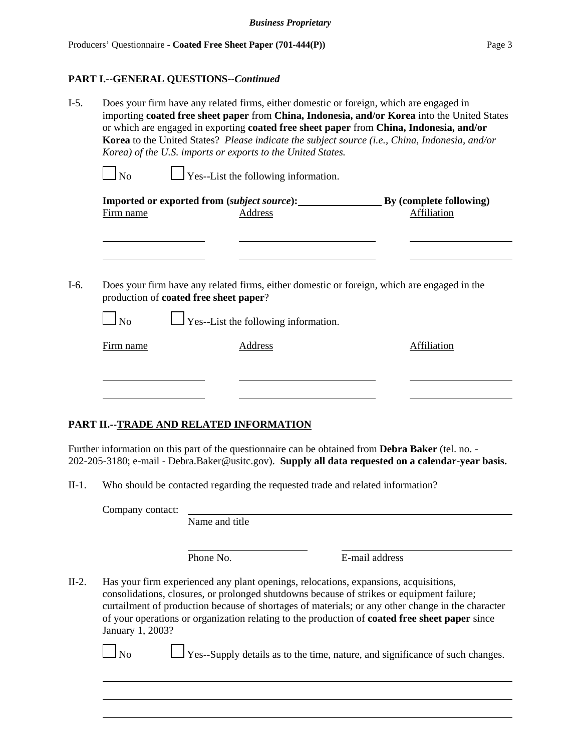### **PART I.--GENERAL QUESTIONS--***Continued*

| $I-5.$ |           |                                                | Does your firm have any related firms, either domestic or foreign, which are engaged in<br>importing coated free sheet paper from China, Indonesia, and/or Korea into the United States<br>or which are engaged in exporting coated free sheet paper from China, Indonesia, and/or<br>Korea to the United States? Please indicate the subject source (i.e., China, Indonesia, and/or<br>Korea) of the U.S. imports or exports to the United States. |                    |
|--------|-----------|------------------------------------------------|-----------------------------------------------------------------------------------------------------------------------------------------------------------------------------------------------------------------------------------------------------------------------------------------------------------------------------------------------------------------------------------------------------------------------------------------------------|--------------------|
|        | $\Box$ No |                                                | $\Box$ Yes--List the following information.                                                                                                                                                                                                                                                                                                                                                                                                         |                    |
|        |           |                                                | Imported or exported from <i>(subject source</i> ): By <i>(complete following)</i>                                                                                                                                                                                                                                                                                                                                                                  |                    |
|        | Firm name |                                                | <b>Address</b>                                                                                                                                                                                                                                                                                                                                                                                                                                      | <b>Affiliation</b> |
|        |           |                                                |                                                                                                                                                                                                                                                                                                                                                                                                                                                     |                    |
|        |           |                                                |                                                                                                                                                                                                                                                                                                                                                                                                                                                     |                    |
| I-6.   |           | production of <b>coated free sheet paper</b> ? | Does your firm have any related firms, either domestic or foreign, which are engaged in the                                                                                                                                                                                                                                                                                                                                                         |                    |
|        | $\Box$ No |                                                | $\Box$ Yes--List the following information.                                                                                                                                                                                                                                                                                                                                                                                                         |                    |
|        | Firm name |                                                | Address                                                                                                                                                                                                                                                                                                                                                                                                                                             | Affiliation        |
|        |           |                                                |                                                                                                                                                                                                                                                                                                                                                                                                                                                     |                    |
|        |           |                                                |                                                                                                                                                                                                                                                                                                                                                                                                                                                     |                    |

## **PART II.--TRADE AND RELATED INFORMATION**

Further information on this part of the questionnaire can be obtained from **Debra Baker** (tel. no. - 202-205-3180; e-mail - Debra.Baker@usitc.gov). **Supply all data requested on a calendar-year basis.**

II-1. Who should be contacted regarding the requested trade and related information?

Company contact:

Name and title

Phone No. **E**-mail address

II-2. Has your firm experienced any plant openings, relocations, expansions, acquisitions, consolidations, closures, or prolonged shutdowns because of strikes or equipment failure; curtailment of production because of shortages of materials; or any other change in the character of your operations or organization relating to the production of **coated free sheet paper** since January 1, 2003?

 $\Box$  No  $\Box$  Yes--Supply details as to the time, nature, and significance of such changes.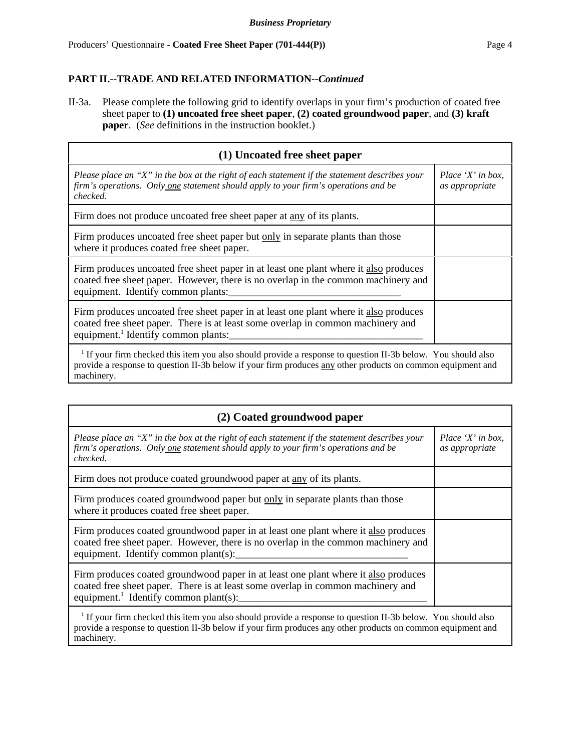II-3a. Please complete the following grid to identify overlaps in your firm's production of coated free sheet paper to **(1) uncoated free sheet paper**, **(2) coated groundwood paper**, and **(3) kraft paper**. (*See* definitions in the instruction booklet.)

| (1) Uncoated free sheet paper                                                                                                                                                                                              |                                     |
|----------------------------------------------------------------------------------------------------------------------------------------------------------------------------------------------------------------------------|-------------------------------------|
| Please place an "X" in the box at the right of each statement if the statement describes your<br>firm's operations. Only one statement should apply to your firm's operations and be<br>checked.                           | Place 'X' in box,<br>as appropriate |
| Firm does not produce uncoated free sheet paper at <u>any</u> of its plants.                                                                                                                                               |                                     |
| Firm produces uncoated free sheet paper but only in separate plants than those<br>where it produces coated free sheet paper.                                                                                               |                                     |
| Firm produces uncoated free sheet paper in at least one plant where it also produces<br>coated free sheet paper. However, there is no overlap in the common machinery and<br>equipment. Identify common plants:            |                                     |
| Firm produces uncoated free sheet paper in at least one plant where it also produces<br>coated free sheet paper. There is at least some overlap in common machinery and<br>equipment. <sup>1</sup> Identify common plants: |                                     |
| If your firm checked this item you also should provide a response to question II-3b below. You should also<br>provide a response to question II-3b below if your firm produces any other products on common equipment and  |                                     |

machinery.

| (2) Coated groundwood paper                                                                                                                                                                                                                          |                                     |  |  |
|------------------------------------------------------------------------------------------------------------------------------------------------------------------------------------------------------------------------------------------------------|-------------------------------------|--|--|
| Please place an "X" in the box at the right of each statement if the statement describes your<br>firm's operations. Only one statement should apply to your firm's operations and be<br>checked.                                                     | Place 'X' in box,<br>as appropriate |  |  |
| Firm does not produce coated groundwood paper at any of its plants.                                                                                                                                                                                  |                                     |  |  |
| Firm produces coated groundwood paper but only in separate plants than those<br>where it produces coated free sheet paper.                                                                                                                           |                                     |  |  |
| Firm produces coated groundwood paper in at least one plant where it also produces<br>coated free sheet paper. However, there is no overlap in the common machinery and<br>equipment. Identify common plant(s):                                      |                                     |  |  |
| Firm produces coated groundwood paper in at least one plant where it also produces<br>coated free sheet paper. There is at least some overlap in common machinery and<br>equipment. <sup>1</sup> Identify common plant(s):                           |                                     |  |  |
| <sup>1</sup> If your firm checked this item you also should provide a response to question II-3b below. You should also<br>provide a response to question II-3b below if your firm produces any other products on common equipment and<br>machinery. |                                     |  |  |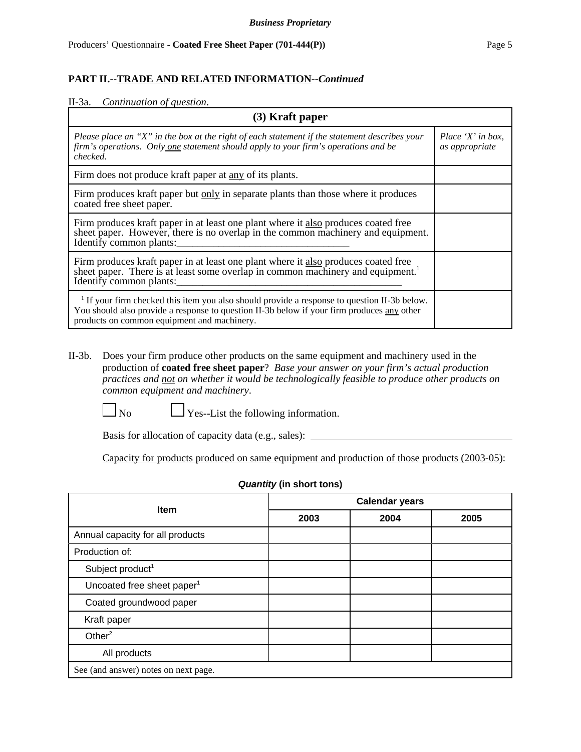| $(3)$ Kraft paper                                                                                                                                                                                                                           |                                     |  |  |
|---------------------------------------------------------------------------------------------------------------------------------------------------------------------------------------------------------------------------------------------|-------------------------------------|--|--|
| Please place an "X" in the box at the right of each statement if the statement describes your<br>firm's operations. Only one statement should apply to your firm's operations and be<br>checked.                                            | Place 'X' in box,<br>as appropriate |  |  |
| Firm does not produce kraft paper at any of its plants.                                                                                                                                                                                     |                                     |  |  |
| Firm produces kraft paper but only in separate plants than those where it produces<br>coated free sheet paper.                                                                                                                              |                                     |  |  |
| Firm produces kraft paper in at least one plant where it also produces coated free<br>sheet paper. However, there is no overlap in the common machinery and equipment.<br>Identify common plants:                                           |                                     |  |  |
| Firm produces kraft paper in at least one plant where it also produces coated free<br>sheet paper. There is at least some overlap in common machinery and equipment. <sup>1</sup><br>Identify common plants:                                |                                     |  |  |
| $1$ If your firm checked this item you also should provide a response to question II-3b below.<br>You should also provide a response to question II-3b below if your firm produces any other<br>products on common equipment and machinery. |                                     |  |  |

II-3b. Does your firm produce other products on the same equipment and machinery used in the production of **coated free sheet paper**? *Base your answer on your firm's actual production practices and not on whether it would be technologically feasible to produce other products on common equipment and machinery*.

 $\Box$  No  $\Box$  Yes--List the following information.

Basis for allocation of capacity data (e.g., sales):

Capacity for products produced on same equipment and production of those products (2003-05):

| $\sim$ $\frac{1}{2}$ and $\frac{1}{2}$ and $\frac{1}{2}$ and $\frac{1}{2}$ |                       |      |      |  |
|----------------------------------------------------------------------------|-----------------------|------|------|--|
| <b>Item</b>                                                                | <b>Calendar years</b> |      |      |  |
|                                                                            | 2003                  | 2004 | 2005 |  |
| Annual capacity for all products                                           |                       |      |      |  |
| Production of:                                                             |                       |      |      |  |
| Subject product <sup>1</sup>                                               |                       |      |      |  |
| Uncoated free sheet paper <sup>1</sup>                                     |                       |      |      |  |
| Coated groundwood paper                                                    |                       |      |      |  |
| Kraft paper                                                                |                       |      |      |  |
| Other $2$                                                                  |                       |      |      |  |
| All products                                                               |                       |      |      |  |
| See (and answer) notes on next page.                                       |                       |      |      |  |

### *Quantity* **(in short tons)**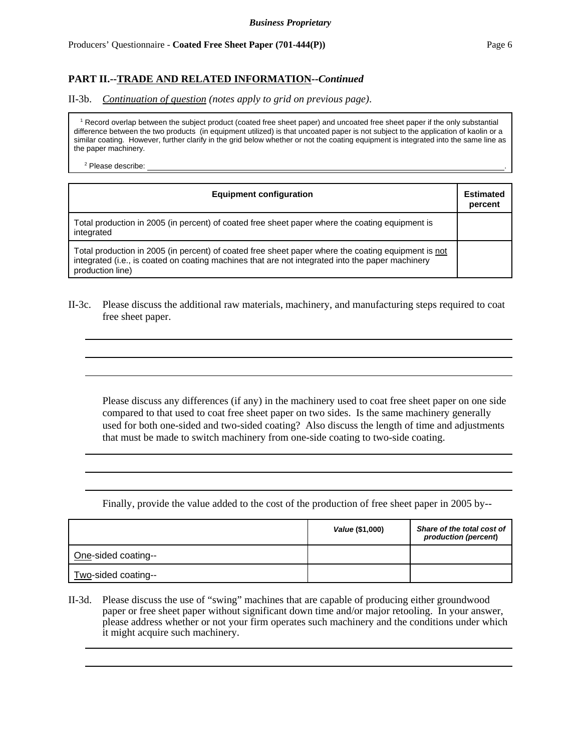II-3b. *Continuation of question (notes apply to grid on previous page)*.

 1 Record overlap between the subject product (coated free sheet paper) and uncoated free sheet paper if the only substantial difference between the two products (in equipment utilized) is that uncoated paper is not subject to the application of kaolin or a similar coating. However, further clarify in the grid below whether or not the coating equipment is integrated into the same line as the paper machinery.

 $2$  Please describe:  $\blacksquare$ 

| <b>Equipment configuration</b>                                                                                                                                                                                              | <b>Estimated</b><br>percent |
|-----------------------------------------------------------------------------------------------------------------------------------------------------------------------------------------------------------------------------|-----------------------------|
| Total production in 2005 (in percent) of coated free sheet paper where the coating equipment is<br>integrated                                                                                                               |                             |
| Total production in 2005 (in percent) of coated free sheet paper where the coating equipment is not<br>integrated (i.e., is coated on coating machines that are not integrated into the paper machinery<br>production line) |                             |

II-3c. Please discuss the additional raw materials, machinery, and manufacturing steps required to coat free sheet paper.

Please discuss any differences (if any) in the machinery used to coat free sheet paper on one side compared to that used to coat free sheet paper on two sides. Is the same machinery generally used for both one-sided and two-sided coating? Also discuss the length of time and adjustments that must be made to switch machinery from one-side coating to two-side coating.

Finally, provide the value added to the cost of the production of free sheet paper in 2005 by--

|                     | Value (\$1,000) | Share of the total cost of<br>production (percent) |
|---------------------|-----------------|----------------------------------------------------|
| One-sided coating-- |                 |                                                    |
| Two-sided coating-- |                 |                                                    |

II-3d. Please discuss the use of "swing" machines that are capable of producing either groundwood paper or free sheet paper without significant down time and/or major retooling. In your answer, please address whether or not your firm operates such machinery and the conditions under which it might acquire such machinery.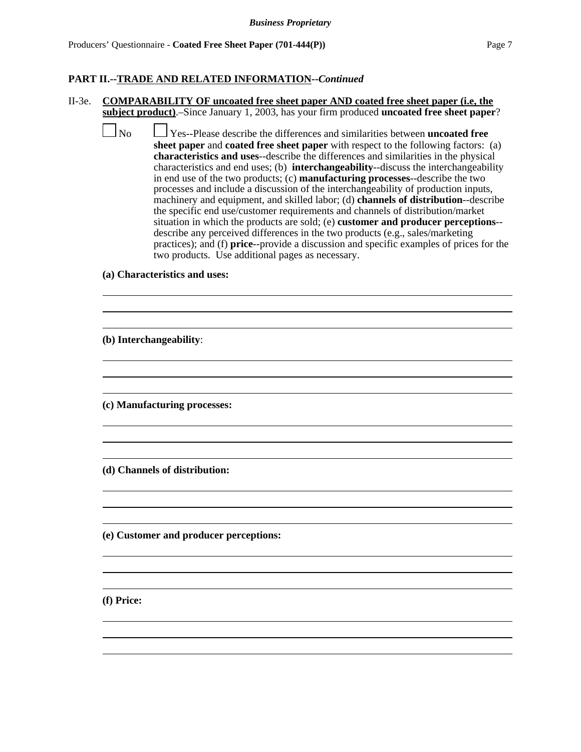II-3e. **COMPARABILITY OF uncoated free sheet paper AND coated free sheet paper (i.e, the subject product)**.–Since January 1, 2003, has your firm produced **uncoated free sheet paper**?

 No Yes--Please describe the differences and similarities between **uncoated free sheet paper** and **coated free sheet paper** with respect to the following factors: (a) **characteristics and uses**--describe the differences and similarities in the physical characteristics and end uses; (b) **interchangeability**--discuss the interchangeability in end use of the two products; (c) **manufacturing processes**--describe the two processes and include a discussion of the interchangeability of production inputs, machinery and equipment, and skilled labor; (d) **channels of distribution**--describe the specific end use/customer requirements and channels of distribution/market situation in which the products are sold; (e) **customer and producer perceptions**- describe any perceived differences in the two products (e.g., sales/marketing practices); and (f) **price**--provide a discussion and specific examples of prices for the two products. Use additional pages as necessary.

> $\overline{a}$  $\overline{a}$

> $\overline{a}$  $\overline{a}$

> $\overline{a}$  $\overline{a}$

> $\overline{a}$  $\overline{a}$

> $\overline{a}$  $\overline{a}$

> $\overline{a}$  $\overline{a}$

**(a) Characteristics and uses:**

**(b) Interchangeability**:

**(c) Manufacturing processes:**

**(d) Channels of distribution:**

**(e) Customer and producer perceptions:**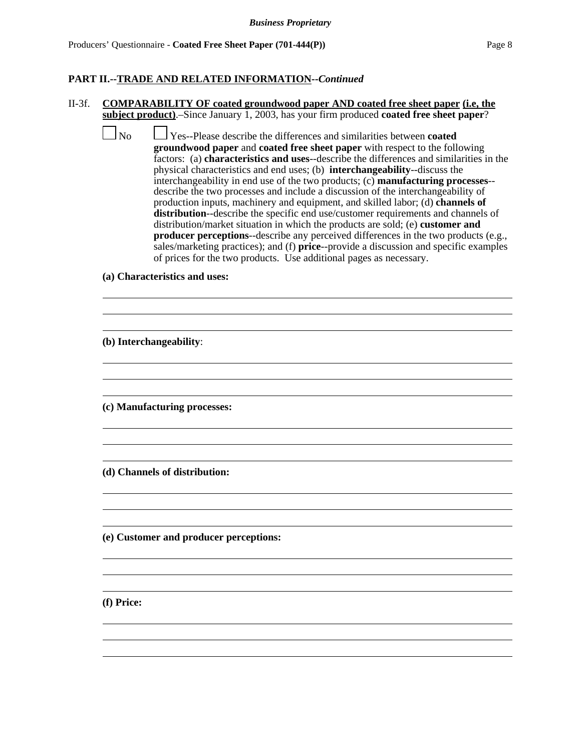### II-3f. **COMPARABILITY OF coated groundwood paper AND coated free sheet paper (i.e, the subject product)**.–Since January 1, 2003, has your firm produced **coated free sheet paper**?

 No Yes--Please describe the differences and similarities between **coated groundwood paper** and **coated free sheet paper** with respect to the following factors: (a) **characteristics and uses**--describe the differences and similarities in the physical characteristics and end uses; (b) **interchangeability**--discuss the interchangeability in end use of the two products; (c) **manufacturing processes**- describe the two processes and include a discussion of the interchangeability of production inputs, machinery and equipment, and skilled labor; (d) **channels of distribution**--describe the specific end use/customer requirements and channels of distribution/market situation in which the products are sold; (e) **customer and producer perceptions-**-describe any perceived differences in the two products (e.g., sales/marketing practices); and (f) **price**--provide a discussion and specific examples of prices for the two products. Use additional pages as necessary.

> $\overline{a}$  $\overline{a}$

> $\overline{a}$  $\overline{a}$

> $\overline{a}$  $\overline{a}$

> $\overline{a}$  $\overline{a}$

> $\overline{a}$  $\overline{a}$

> $\overline{a}$  $\overline{a}$

**(a) Characteristics and uses:**

**(b) Interchangeability**:

**(c) Manufacturing processes:**

**(d) Channels of distribution:**

**(e) Customer and producer perceptions:**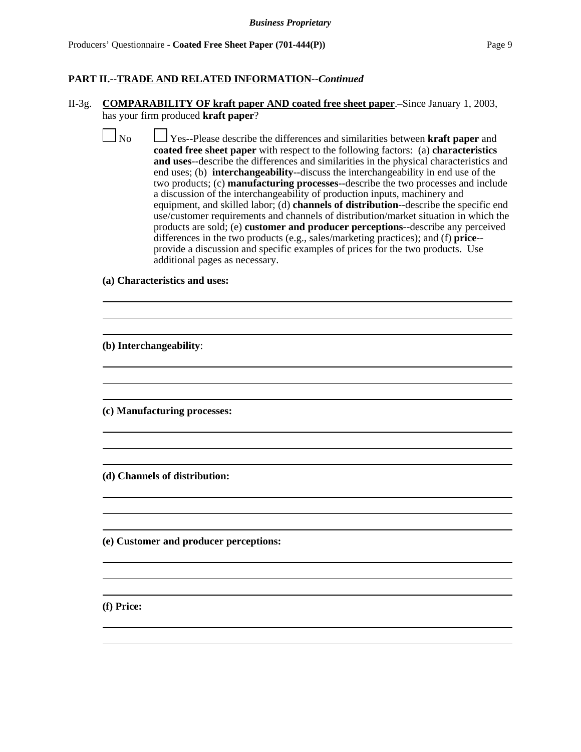#### II-3g. **COMPARABILITY OF kraft paper AND coated free sheet paper**.–Since January 1, 2003, has your firm produced **kraft paper**?

No Yes--Please describe the differences and similarities between **kraft paper** and **coated free sheet paper** with respect to the following factors: (a) **characteristics and uses**--describe the differences and similarities in the physical characteristics and end uses; (b) **interchangeability**--discuss the interchangeability in end use of the two products; (c) **manufacturing processes**--describe the two processes and include a discussion of the interchangeability of production inputs, machinery and equipment, and skilled labor; (d) **channels of distribution**--describe the specific end use/customer requirements and channels of distribution/market situation in which the products are sold; (e) **customer and producer perceptions**--describe any perceived differences in the two products (e.g., sales/marketing practices); and (f) **price**- provide a discussion and specific examples of prices for the two products. Use additional pages as necessary.

> $\overline{a}$  $\overline{a}$

> $\overline{a}$  $\overline{a}$

> $\overline{a}$  $\overline{a}$

> $\overline{a}$  $\overline{a}$

> $\overline{a}$  $\overline{a}$

> $\overline{a}$  $\overline{a}$

### **(a) Characteristics and uses:**

**(b) Interchangeability**:

**(c) Manufacturing processes:**

**(d) Channels of distribution:**

**(e) Customer and producer perceptions:**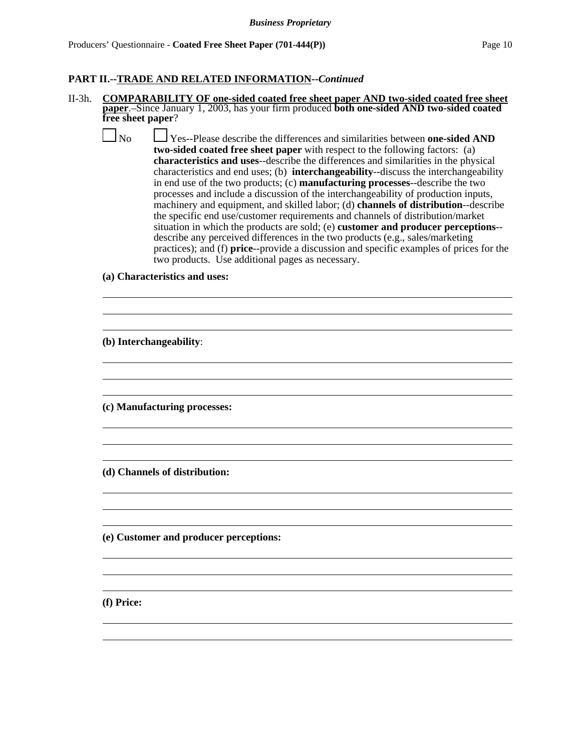- II-3h. **COMPARABILITY OF one-sided coated free sheet paper AND two-sided coated free sheet paper**.–Since January 1, 2003, has your firm produced **both one-sided AND two-sided coated free sheet paper**?
	- No Yes--Please describe the differences and similarities between **one-sided AND two-sided coated free sheet paper** with respect to the following factors: (a) **characteristics and uses**--describe the differences and similarities in the physical characteristics and end uses; (b) **interchangeability**--discuss the interchangeability in end use of the two products; (c) **manufacturing processes**--describe the two processes and include a discussion of the interchangeability of production inputs, machinery and equipment, and skilled labor; (d) **channels of distribution**--describe the specific end use/customer requirements and channels of distribution/market situation in which the products are sold; (e) **customer and producer perceptions**- describe any perceived differences in the two products (e.g., sales/marketing practices); and (f) **price**--provide a discussion and specific examples of prices for the two products. Use additional pages as necessary.

 $\overline{a}$  $\overline{a}$ 

 $\overline{a}$  $\overline{a}$ 

 $\overline{a}$  $\overline{a}$ 

 $\overline{a}$  $\overline{a}$ 

 $\overline{a}$  $\overline{a}$ 

 $\overline{a}$  $\overline{a}$ 

**(a) Characteristics and uses:**

**(b) Interchangeability**:

**(c) Manufacturing processes:**

**(d) Channels of distribution:**

**(e) Customer and producer perceptions:**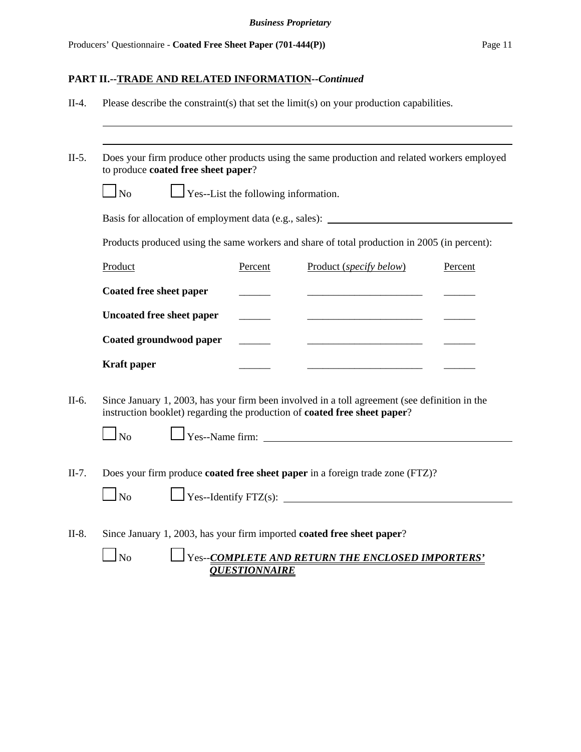| $\Gamma$ Yes--List the following information.<br>$1_{\rm No}$ |           |                                                                                   |                                                                                                                                                                                                                                                                                                                                                                                                                       |
|---------------------------------------------------------------|-----------|-----------------------------------------------------------------------------------|-----------------------------------------------------------------------------------------------------------------------------------------------------------------------------------------------------------------------------------------------------------------------------------------------------------------------------------------------------------------------------------------------------------------------|
|                                                               |           |                                                                                   |                                                                                                                                                                                                                                                                                                                                                                                                                       |
|                                                               |           | Basis for allocation of employment data (e.g., sales): __________________________ |                                                                                                                                                                                                                                                                                                                                                                                                                       |
|                                                               |           |                                                                                   |                                                                                                                                                                                                                                                                                                                                                                                                                       |
| Product                                                       | Percent   | Product (specify below)                                                           | Percent                                                                                                                                                                                                                                                                                                                                                                                                               |
| Coated free sheet paper                                       |           |                                                                                   |                                                                                                                                                                                                                                                                                                                                                                                                                       |
| <b>Uncoated free sheet paper</b>                              |           |                                                                                   |                                                                                                                                                                                                                                                                                                                                                                                                                       |
| Coated groundwood paper                                       |           |                                                                                   |                                                                                                                                                                                                                                                                                                                                                                                                                       |
| <b>Kraft</b> paper                                            |           |                                                                                   |                                                                                                                                                                                                                                                                                                                                                                                                                       |
| $1_{\rm No}$                                                  |           |                                                                                   |                                                                                                                                                                                                                                                                                                                                                                                                                       |
|                                                               |           |                                                                                   |                                                                                                                                                                                                                                                                                                                                                                                                                       |
|                                                               | $\Box$ No |                                                                                   | Products produced using the same workers and share of total production in 2005 (in percent):<br>Since January 1, 2003, has your firm been involved in a toll agreement (see definition in the<br>instruction booklet) regarding the production of coated free sheet paper?<br>Yes--Name firm:<br>Does your firm produce coated free sheet paper in a foreign trade zone (FTZ)?<br>Yes--Identify FTZ(s): $\frac{1}{2}$ |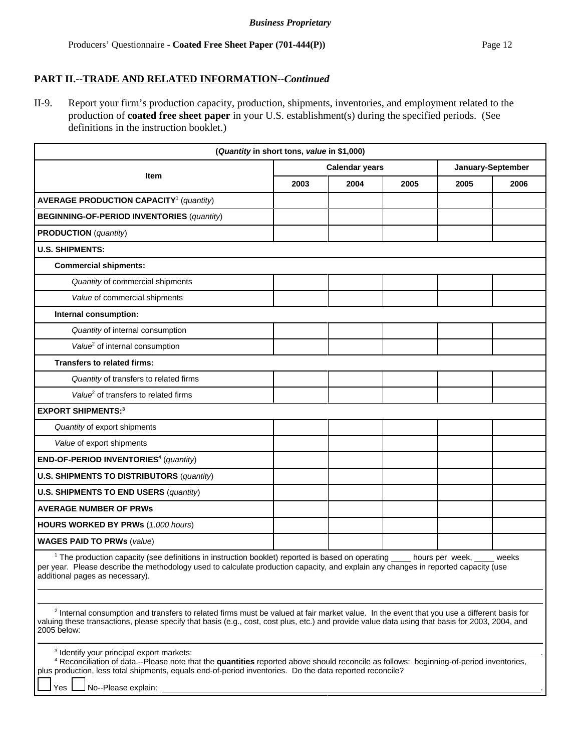II-9. Report your firm's production capacity, production, shipments, inventories, and employment related to the production of **coated free sheet paper** in your U.S. establishment(s) during the specified periods. (See definitions in the instruction booklet.)

|                                                                                                                                                                                                                                                                                                                                                                                                                                                                                                                                                                                                                                                  | (Quantity in short tons, value in \$1,000) |      |      |                   |      |
|--------------------------------------------------------------------------------------------------------------------------------------------------------------------------------------------------------------------------------------------------------------------------------------------------------------------------------------------------------------------------------------------------------------------------------------------------------------------------------------------------------------------------------------------------------------------------------------------------------------------------------------------------|--------------------------------------------|------|------|-------------------|------|
|                                                                                                                                                                                                                                                                                                                                                                                                                                                                                                                                                                                                                                                  | <b>Calendar years</b>                      |      |      | January-September |      |
| <b>Item</b>                                                                                                                                                                                                                                                                                                                                                                                                                                                                                                                                                                                                                                      | 2003                                       | 2004 | 2005 | 2005              | 2006 |
| <b>AVERAGE PRODUCTION CAPACITY<sup>1</sup> (quantity)</b>                                                                                                                                                                                                                                                                                                                                                                                                                                                                                                                                                                                        |                                            |      |      |                   |      |
| <b>BEGINNING-OF-PERIOD INVENTORIES (quantity)</b>                                                                                                                                                                                                                                                                                                                                                                                                                                                                                                                                                                                                |                                            |      |      |                   |      |
| <b>PRODUCTION</b> (quantity)                                                                                                                                                                                                                                                                                                                                                                                                                                                                                                                                                                                                                     |                                            |      |      |                   |      |
| <b>U.S. SHIPMENTS:</b>                                                                                                                                                                                                                                                                                                                                                                                                                                                                                                                                                                                                                           |                                            |      |      |                   |      |
| <b>Commercial shipments:</b>                                                                                                                                                                                                                                                                                                                                                                                                                                                                                                                                                                                                                     |                                            |      |      |                   |      |
| Quantity of commercial shipments                                                                                                                                                                                                                                                                                                                                                                                                                                                                                                                                                                                                                 |                                            |      |      |                   |      |
| Value of commercial shipments                                                                                                                                                                                                                                                                                                                                                                                                                                                                                                                                                                                                                    |                                            |      |      |                   |      |
| Internal consumption:                                                                                                                                                                                                                                                                                                                                                                                                                                                                                                                                                                                                                            |                                            |      |      |                   |      |
| Quantity of internal consumption                                                                                                                                                                                                                                                                                                                                                                                                                                                                                                                                                                                                                 |                                            |      |      |                   |      |
| Value <sup>2</sup> of internal consumption                                                                                                                                                                                                                                                                                                                                                                                                                                                                                                                                                                                                       |                                            |      |      |                   |      |
| <b>Transfers to related firms:</b>                                                                                                                                                                                                                                                                                                                                                                                                                                                                                                                                                                                                               |                                            |      |      |                   |      |
| Quantity of transfers to related firms                                                                                                                                                                                                                                                                                                                                                                                                                                                                                                                                                                                                           |                                            |      |      |                   |      |
| Value <sup>2</sup> of transfers to related firms                                                                                                                                                                                                                                                                                                                                                                                                                                                                                                                                                                                                 |                                            |      |      |                   |      |
| <b>EXPORT SHIPMENTS:3</b>                                                                                                                                                                                                                                                                                                                                                                                                                                                                                                                                                                                                                        |                                            |      |      |                   |      |
| Quantity of export shipments                                                                                                                                                                                                                                                                                                                                                                                                                                                                                                                                                                                                                     |                                            |      |      |                   |      |
| Value of export shipments                                                                                                                                                                                                                                                                                                                                                                                                                                                                                                                                                                                                                        |                                            |      |      |                   |      |
| END-OF-PERIOD INVENTORIES <sup>4</sup> (quantity)                                                                                                                                                                                                                                                                                                                                                                                                                                                                                                                                                                                                |                                            |      |      |                   |      |
| <b>U.S. SHIPMENTS TO DISTRIBUTORS (quantity)</b>                                                                                                                                                                                                                                                                                                                                                                                                                                                                                                                                                                                                 |                                            |      |      |                   |      |
| <b>U.S. SHIPMENTS TO END USERS (quantity)</b>                                                                                                                                                                                                                                                                                                                                                                                                                                                                                                                                                                                                    |                                            |      |      |                   |      |
| <b>AVERAGE NUMBER OF PRWS</b>                                                                                                                                                                                                                                                                                                                                                                                                                                                                                                                                                                                                                    |                                            |      |      |                   |      |
| HOURS WORKED BY PRWs (1,000 hours)                                                                                                                                                                                                                                                                                                                                                                                                                                                                                                                                                                                                               |                                            |      |      |                   |      |
| <b>WAGES PAID TO PRWs (value)</b>                                                                                                                                                                                                                                                                                                                                                                                                                                                                                                                                                                                                                |                                            |      |      |                   |      |
| <sup>1</sup> The production capacity (see definitions in instruction booklet) reported is based on operating ____ hours per week, ____ weeks<br>per year. Please describe the methodology used to calculate production capacity, and explain any changes in reported capacity (use<br>additional pages as necessary).<br><sup>2</sup> Internal consumption and transfers to related firms must be valued at fair market value. In the event that you use a different basis for<br>valuing these transactions, please specify that basis (e.g., cost, cost plus, etc.) and provide value data using that basis for 2003, 2004, and<br>2005 below: |                                            |      |      |                   |      |
| <sup>3</sup> Identify your principal export markets:<br><sup>4</sup> Reconciliation of data.--Please note that the quantities reported above should reconcile as follows: beginning-of-period inventories,<br>plus production, less total shipments, equals end-of-period inventories. Do the data reported reconcile?<br>No--Please explain:<br>Yes                                                                                                                                                                                                                                                                                             |                                            |      |      |                   |      |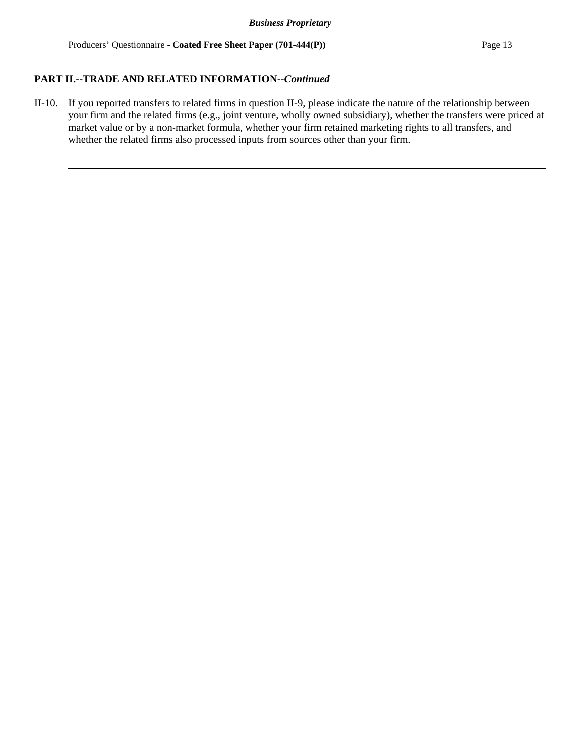II-10. If you reported transfers to related firms in question II-9, please indicate the nature of the relationship between your firm and the related firms (e.g., joint venture, wholly owned subsidiary), whether the transfers were priced at market value or by a non-market formula, whether your firm retained marketing rights to all transfers, and whether the related firms also processed inputs from sources other than your firm.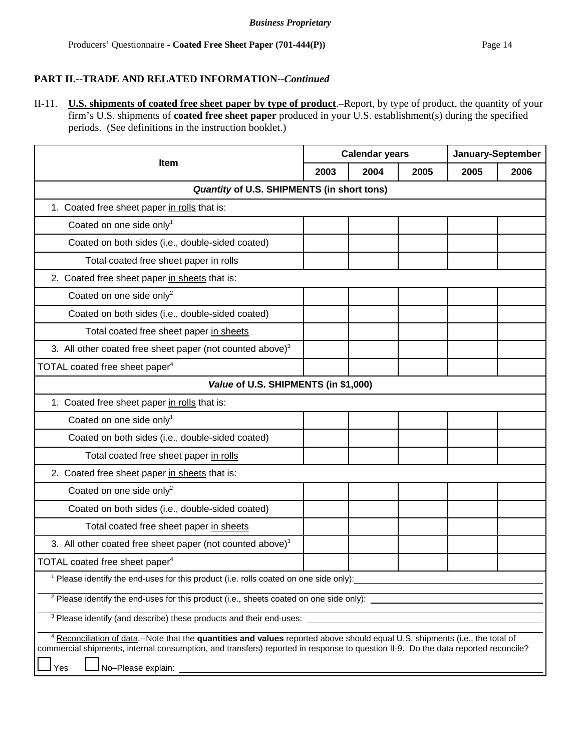II-11. **U.S. shipments of coated free sheet paper by type of product**.–Report, by type of product, the quantity of your firm's U.S. shipments of **coated free sheet paper** produced in your U.S. establishment(s) during the specified periods. (See definitions in the instruction booklet.)

| Item                                                                                                                                     |  | <b>Calendar years</b> |      |      | January-September |  |
|------------------------------------------------------------------------------------------------------------------------------------------|--|-----------------------|------|------|-------------------|--|
|                                                                                                                                          |  | 2004                  | 2005 | 2005 | 2006              |  |
| Quantity of U.S. SHIPMENTS (in short tons)                                                                                               |  |                       |      |      |                   |  |
| 1. Coated free sheet paper in rolls that is:                                                                                             |  |                       |      |      |                   |  |
| Coated on one side only <sup>1</sup>                                                                                                     |  |                       |      |      |                   |  |
| Coated on both sides (i.e., double-sided coated)                                                                                         |  |                       |      |      |                   |  |
| Total coated free sheet paper in rolls                                                                                                   |  |                       |      |      |                   |  |
| 2. Coated free sheet paper in sheets that is:                                                                                            |  |                       |      |      |                   |  |
| Coated on one side only <sup>2</sup>                                                                                                     |  |                       |      |      |                   |  |
| Coated on both sides (i.e., double-sided coated)                                                                                         |  |                       |      |      |                   |  |
| Total coated free sheet paper in sheets                                                                                                  |  |                       |      |      |                   |  |
| 3. All other coated free sheet paper (not counted above) <sup>3</sup>                                                                    |  |                       |      |      |                   |  |
| TOTAL coated free sheet paper <sup>4</sup>                                                                                               |  |                       |      |      |                   |  |
| Value of U.S. SHIPMENTS (in \$1,000)                                                                                                     |  |                       |      |      |                   |  |
| 1. Coated free sheet paper in rolls that is:                                                                                             |  |                       |      |      |                   |  |
| Coated on one side only <sup>1</sup>                                                                                                     |  |                       |      |      |                   |  |
| Coated on both sides (i.e., double-sided coated)                                                                                         |  |                       |      |      |                   |  |
| Total coated free sheet paper in rolls                                                                                                   |  |                       |      |      |                   |  |
| 2. Coated free sheet paper in sheets that is:                                                                                            |  |                       |      |      |                   |  |
| Coated on one side only <sup>2</sup>                                                                                                     |  |                       |      |      |                   |  |
| Coated on both sides (i.e., double-sided coated)                                                                                         |  |                       |      |      |                   |  |
| Total coated free sheet paper in sheets                                                                                                  |  |                       |      |      |                   |  |
| 3. All other coated free sheet paper (not counted above) <sup>3</sup>                                                                    |  |                       |      |      |                   |  |
| TOTAL coated free sheet paper <sup>4</sup>                                                                                               |  |                       |      |      |                   |  |
| <sup>1</sup> Please identify the end-uses for this product (i.e. rolls coated on one side only):                                         |  |                       |      |      |                   |  |
|                                                                                                                                          |  |                       |      |      |                   |  |
| <sup>3</sup> Please identify (and describe) these products and their end-uses:                                                           |  |                       |      |      |                   |  |
| <sup>4</sup> Reconciliation of data.--Note that the quantities and values reported above should equal U.S. shipments (i.e., the total of |  |                       |      |      |                   |  |
| commercial shipments, internal consumption, and transfers) reported in response to question II-9. Do the data reported reconcile?        |  |                       |      |      |                   |  |
| Yes                                                                                                                                      |  |                       |      |      |                   |  |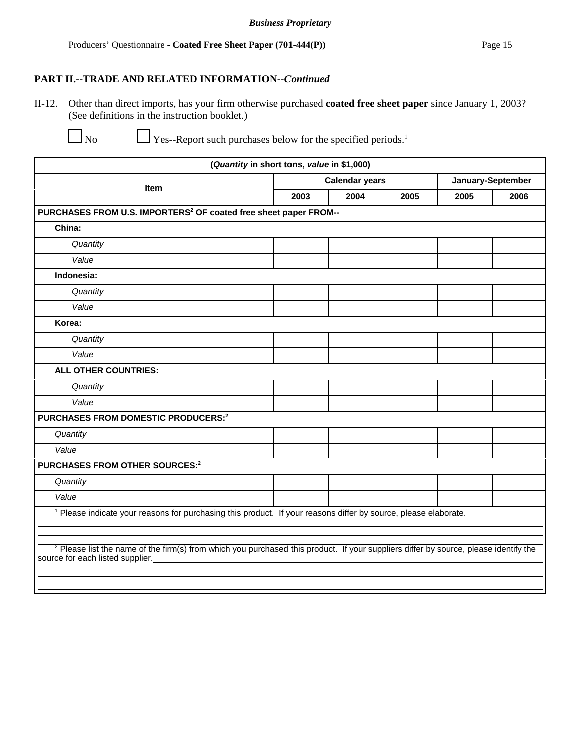II-12. Other than direct imports, has your firm otherwise purchased **coated free sheet paper** since January 1, 2003? (See definitions in the instruction booklet.)

No Yes--Report such purchases below for the specified periods.<sup>1</sup>

|                                                                                                                                                                                     | (Quantity in short tons, value in \$1,000) |                       |      |                   |      |
|-------------------------------------------------------------------------------------------------------------------------------------------------------------------------------------|--------------------------------------------|-----------------------|------|-------------------|------|
| Item                                                                                                                                                                                |                                            | <b>Calendar years</b> |      | January-September |      |
|                                                                                                                                                                                     | 2003                                       | 2004                  | 2005 | 2005              | 2006 |
| PURCHASES FROM U.S. IMPORTERS <sup>2</sup> OF coated free sheet paper FROM--                                                                                                        |                                            |                       |      |                   |      |
| China:                                                                                                                                                                              |                                            |                       |      |                   |      |
| Quantity                                                                                                                                                                            |                                            |                       |      |                   |      |
| Value                                                                                                                                                                               |                                            |                       |      |                   |      |
| Indonesia:                                                                                                                                                                          |                                            |                       |      |                   |      |
| Quantity                                                                                                                                                                            |                                            |                       |      |                   |      |
| Value                                                                                                                                                                               |                                            |                       |      |                   |      |
| Korea:                                                                                                                                                                              |                                            |                       |      |                   |      |
| Quantity                                                                                                                                                                            |                                            |                       |      |                   |      |
| Value                                                                                                                                                                               |                                            |                       |      |                   |      |
| ALL OTHER COUNTRIES:                                                                                                                                                                |                                            |                       |      |                   |      |
| Quantity                                                                                                                                                                            |                                            |                       |      |                   |      |
| Value                                                                                                                                                                               |                                            |                       |      |                   |      |
| PURCHASES FROM DOMESTIC PRODUCERS:2                                                                                                                                                 |                                            |                       |      |                   |      |
| Quantity                                                                                                                                                                            |                                            |                       |      |                   |      |
| Value                                                                                                                                                                               |                                            |                       |      |                   |      |
| PURCHASES FROM OTHER SOURCES:2                                                                                                                                                      |                                            |                       |      |                   |      |
| Quantity                                                                                                                                                                            |                                            |                       |      |                   |      |
| Value                                                                                                                                                                               |                                            |                       |      |                   |      |
| <sup>1</sup> Please indicate your reasons for purchasing this product. If your reasons differ by source, please elaborate.                                                          |                                            |                       |      |                   |      |
| <sup>2</sup> Please list the name of the firm(s) from which you purchased this product. If your suppliers differ by source, please identify the<br>source for each listed supplier. |                                            |                       |      |                   |      |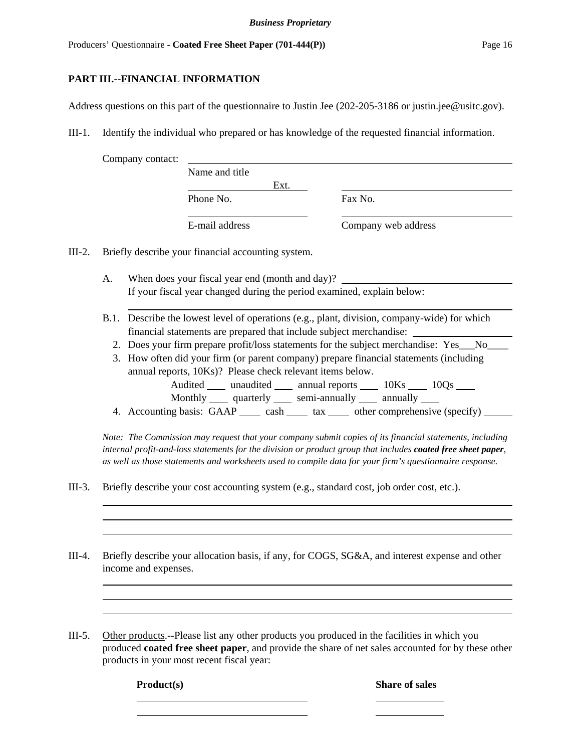### **PART III.--FINANCIAL INFORMATION**

Address questions on this part of the questionnaire to Justin Jee (202-205**-**3186 or justin.jee@usitc.gov).

III-1. Identify the individual who prepared or has knowledge of the requested financial information.

|        |    | Company contact:                                                                                                                                    |                                                                                                                                                                             |                                                                            |      |  |         |                     |  |  |
|--------|----|-----------------------------------------------------------------------------------------------------------------------------------------------------|-----------------------------------------------------------------------------------------------------------------------------------------------------------------------------|----------------------------------------------------------------------------|------|--|---------|---------------------|--|--|
|        |    |                                                                                                                                                     | Name and title                                                                                                                                                              |                                                                            |      |  |         |                     |  |  |
|        |    |                                                                                                                                                     |                                                                                                                                                                             |                                                                            | Ext. |  |         |                     |  |  |
|        |    |                                                                                                                                                     | Phone No.                                                                                                                                                                   |                                                                            |      |  | Fax No. |                     |  |  |
|        |    |                                                                                                                                                     | E-mail address                                                                                                                                                              |                                                                            |      |  |         | Company web address |  |  |
| III-2. |    | Briefly describe your financial accounting system.                                                                                                  |                                                                                                                                                                             |                                                                            |      |  |         |                     |  |  |
|        | А. |                                                                                                                                                     | When does your fiscal year end (month and day)?<br>If your fiscal year changed during the period examined, explain below:                                                   |                                                                            |      |  |         |                     |  |  |
|        |    |                                                                                                                                                     | B.1. Describe the lowest level of operations (e.g., plant, division, company-wide) for which<br>financial statements are prepared that include subject merchandise: _______ |                                                                            |      |  |         |                     |  |  |
|        |    | 2. Does your firm prepare profit/loss statements for the subject merchandise: Yes__No_                                                              |                                                                                                                                                                             |                                                                            |      |  |         |                     |  |  |
|        |    | 3. How often did your firm (or parent company) prepare financial statements (including<br>annual reports, 10Ks)? Please check relevant items below. |                                                                                                                                                                             | Audited _____ unaudited ______ annual reports ______ 10Ks _____ 10Qs _____ |      |  |         |                     |  |  |
|        |    |                                                                                                                                                     |                                                                                                                                                                             | Monthly _____ quarterly _____ semi-annually _____ annually ____            |      |  |         |                     |  |  |

4. Accounting basis: GAAP \_\_\_\_ cash \_\_\_\_ tax \_\_\_\_ other comprehensive (specify) \_\_\_\_\_

*Note: The Commission may request that your company submit copies of its financial statements, including internal profit-and-loss statements for the division or product group that includes coated free sheet paper, as well as those statements and worksheets used to compile data for your firm's questionnaire response.*

- III-3. Briefly describe your cost accounting system (e.g., standard cost, job order cost, etc.).
- III-4. Briefly describe your allocation basis, if any, for COGS, SG&A, and interest expense and other income and expenses.

III-5. Other products.--Please list any other products you produced in the facilities in which you produced **coated free sheet paper**, and provide the share of net sales accounted for by these other products in your most recent fiscal year:

**Product(s)** Share of sales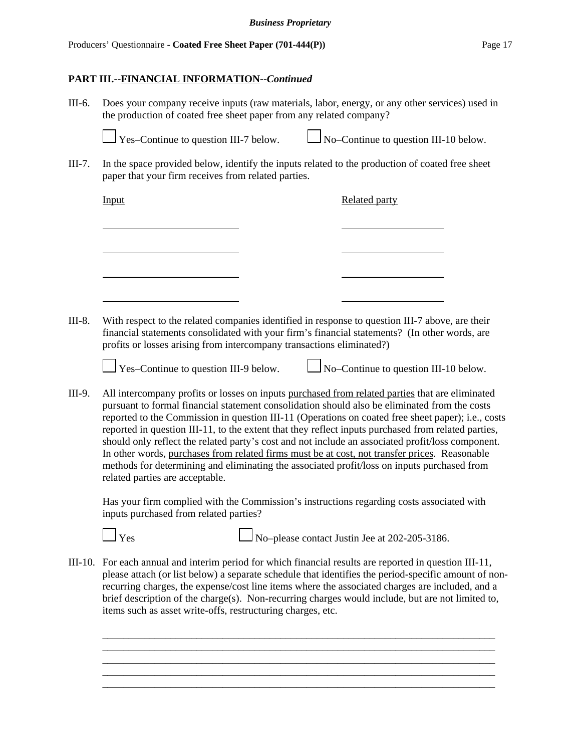# **PART III.--FINANCIAL INFORMATION--***Continued*

III-6. Does your company receive inputs (raw materials, labor, energy, or any other services) used in the production of coated free sheet paper from any related company?



 $\sqrt{\frac{V_{\text{ES}}}{V_{\text{CS}}-}}$  Yes–Continue to question III-10 below.

III-7. In the space provided below, identify the inputs related to the production of coated free sheet paper that your firm receives from related parties.

| Input | <b>Related party</b> |
|-------|----------------------|
|       |                      |
|       |                      |
|       |                      |
|       |                      |
|       |                      |

III-8. With respect to the related companies identified in response to question III-7 above, are their financial statements consolidated with your firm's financial statements? (In other words, are profits or losses arising from intercompany transactions eliminated?)

 $\frac{1}{1}$  Yes–Continue to question III-9 below.  $\frac{1}{10}$  No–Continue to question III-10 below.

III-9. All intercompany profits or losses on inputs purchased from related parties that are eliminated pursuant to formal financial statement consolidation should also be eliminated from the costs reported to the Commission in question III-11 (Operations on coated free sheet paper); i.e., costs reported in question III-11, to the extent that they reflect inputs purchased from related parties, should only reflect the related party's cost and not include an associated profit/loss component. In other words, purchases from related firms must be at cost, not transfer prices. Reasonable methods for determining and eliminating the associated profit/loss on inputs purchased from related parties are acceptable.

Has your firm complied with the Commission's instructions regarding costs associated with inputs purchased from related parties?

 $\Box$  Yes  $\Box$  No–please contact Justin Jee at 202-205-3186.

III-10. For each annual and interim period for which financial results are reported in question III-11, please attach (or list below) a separate schedule that identifies the period-specific amount of nonrecurring charges, the expense/cost line items where the associated charges are included, and a brief description of the charge(s). Non-recurring charges would include, but are not limited to, items such as asset write-offs, restructuring charges, etc.

\_\_\_\_\_\_\_\_\_\_\_\_\_\_\_\_\_\_\_\_\_\_\_\_\_\_\_\_\_\_\_\_\_\_\_\_\_\_\_\_\_\_\_\_\_\_\_\_\_\_\_\_\_\_\_\_\_\_\_\_\_\_\_\_\_\_\_\_\_\_\_\_\_\_\_ \_\_\_\_\_\_\_\_\_\_\_\_\_\_\_\_\_\_\_\_\_\_\_\_\_\_\_\_\_\_\_\_\_\_\_\_\_\_\_\_\_\_\_\_\_\_\_\_\_\_\_\_\_\_\_\_\_\_\_\_\_\_\_\_\_\_\_\_\_\_\_\_\_\_\_ \_\_\_\_\_\_\_\_\_\_\_\_\_\_\_\_\_\_\_\_\_\_\_\_\_\_\_\_\_\_\_\_\_\_\_\_\_\_\_\_\_\_\_\_\_\_\_\_\_\_\_\_\_\_\_\_\_\_\_\_\_\_\_\_\_\_\_\_\_\_\_\_\_\_\_

\_\_\_\_\_\_\_\_\_\_\_\_\_\_\_\_\_\_\_\_\_\_\_\_\_\_\_\_\_\_\_\_\_\_\_\_\_\_\_\_\_\_\_\_\_\_\_\_\_\_\_\_\_\_\_\_\_\_\_\_\_\_\_\_\_\_\_\_\_\_\_\_\_\_\_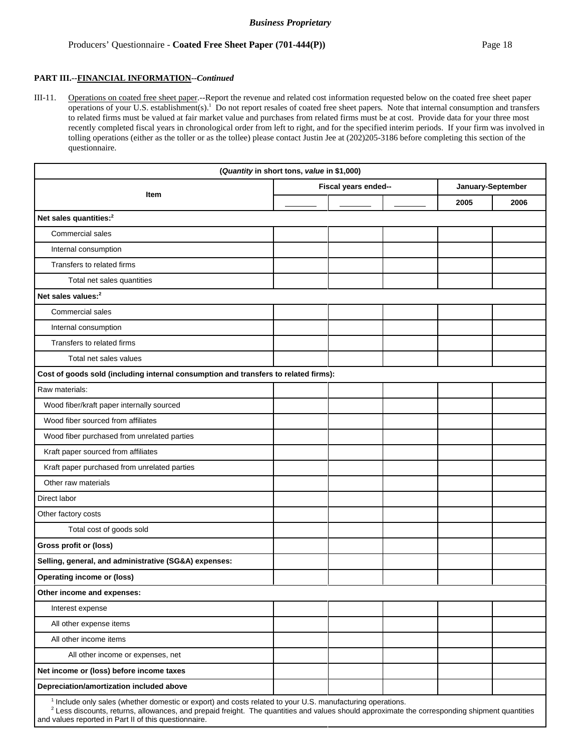#### **PART III.--FINANCIAL INFORMATION--***Continued*

III-11. Operations on coated free sheet paper.--Report the revenue and related cost information requested below on the coated free sheet paper operations of your U.S. establishment(s).<sup>1</sup> Do not report resales of coated free sheet papers. Note that internal consumption and transfers to related firms must be valued at fair market value and purchases from related firms must be at cost. Provide data for your three most recently completed fiscal years in chronological order from left to right, and for the specified interim periods. If your firm was involved in tolling operations (either as the toller or as the tollee) please contact Justin Jee at (202)205-3186 before completing this section of the questionnaire.

|                                                                                     | (Quantity in short tons, value in \$1,000) |                      |                   |      |  |
|-------------------------------------------------------------------------------------|--------------------------------------------|----------------------|-------------------|------|--|
|                                                                                     |                                            | Fiscal years ended-- | January-September |      |  |
| Item                                                                                |                                            |                      | 2005              | 2006 |  |
| Net sales quantities: <sup>2</sup>                                                  |                                            |                      |                   |      |  |
| Commercial sales                                                                    |                                            |                      |                   |      |  |
| Internal consumption                                                                |                                            |                      |                   |      |  |
| Transfers to related firms                                                          |                                            |                      |                   |      |  |
| Total net sales quantities                                                          |                                            |                      |                   |      |  |
| Net sales values: <sup>2</sup>                                                      |                                            |                      |                   |      |  |
| Commercial sales                                                                    |                                            |                      |                   |      |  |
| Internal consumption                                                                |                                            |                      |                   |      |  |
| Transfers to related firms                                                          |                                            |                      |                   |      |  |
| Total net sales values                                                              |                                            |                      |                   |      |  |
| Cost of goods sold (including internal consumption and transfers to related firms): |                                            |                      |                   |      |  |
| Raw materials:                                                                      |                                            |                      |                   |      |  |
| Wood fiber/kraft paper internally sourced                                           |                                            |                      |                   |      |  |
| Wood fiber sourced from affiliates                                                  |                                            |                      |                   |      |  |
| Wood fiber purchased from unrelated parties                                         |                                            |                      |                   |      |  |
| Kraft paper sourced from affiliates                                                 |                                            |                      |                   |      |  |
| Kraft paper purchased from unrelated parties                                        |                                            |                      |                   |      |  |
| Other raw materials                                                                 |                                            |                      |                   |      |  |
| Direct labor                                                                        |                                            |                      |                   |      |  |
| Other factory costs                                                                 |                                            |                      |                   |      |  |
| Total cost of goods sold                                                            |                                            |                      |                   |      |  |
| Gross profit or (loss)                                                              |                                            |                      |                   |      |  |
| Selling, general, and administrative (SG&A) expenses:                               |                                            |                      |                   |      |  |
| <b>Operating income or (loss)</b>                                                   |                                            |                      |                   |      |  |
| Other income and expenses:                                                          |                                            |                      |                   |      |  |
| Interest expense                                                                    |                                            |                      |                   |      |  |
| All other expense items                                                             |                                            |                      |                   |      |  |
| All other income items                                                              |                                            |                      |                   |      |  |
| All other income or expenses, net                                                   |                                            |                      |                   |      |  |
| Net income or (loss) before income taxes                                            |                                            |                      |                   |      |  |
| Depreciation/amortization included above                                            |                                            |                      |                   |      |  |
| 1 Include only color (upother democing or event) and costs                          | $\cdots$                                   |                      |                   |      |  |

<sup>1</sup> Include only sales (whether domestic or export) and costs related to your U.S. manufacturing operations.

 $<sup>2</sup>$  Less discounts, returns, allowances, and prepaid freight. The quantities and values should approximate the corresponding shipment quantities</sup> and values reported in Part II of this questionnaire.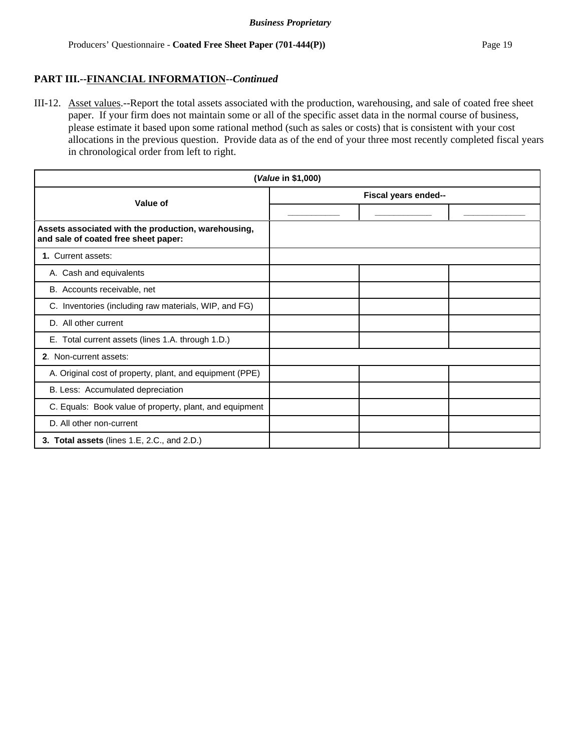III-12. Asset values.--Report the total assets associated with the production, warehousing, and sale of coated free sheet paper. If your firm does not maintain some or all of the specific asset data in the normal course of business, please estimate it based upon some rational method (such as sales or costs) that is consistent with your cost allocations in the previous question. Provide data as of the end of your three most recently completed fiscal years in chronological order from left to right.

| (Value in \$1,000)                                                                          |                      |  |  |  |  |
|---------------------------------------------------------------------------------------------|----------------------|--|--|--|--|
| Value of                                                                                    | Fiscal years ended-- |  |  |  |  |
|                                                                                             |                      |  |  |  |  |
| Assets associated with the production, warehousing,<br>and sale of coated free sheet paper: |                      |  |  |  |  |
| 1. Current assets:                                                                          |                      |  |  |  |  |
| A. Cash and equivalents                                                                     |                      |  |  |  |  |
| B. Accounts receivable, net                                                                 |                      |  |  |  |  |
| C. Inventories (including raw materials, WIP, and FG)                                       |                      |  |  |  |  |
| D. All other current                                                                        |                      |  |  |  |  |
| E. Total current assets (lines 1.A. through 1.D.)                                           |                      |  |  |  |  |
| 2. Non-current assets:                                                                      |                      |  |  |  |  |
| A. Original cost of property, plant, and equipment (PPE)                                    |                      |  |  |  |  |
| B. Less: Accumulated depreciation                                                           |                      |  |  |  |  |
| C. Equals: Book value of property, plant, and equipment                                     |                      |  |  |  |  |
| D. All other non-current                                                                    |                      |  |  |  |  |
| 3. Total assets (lines 1.E, 2.C., and 2.D.)                                                 |                      |  |  |  |  |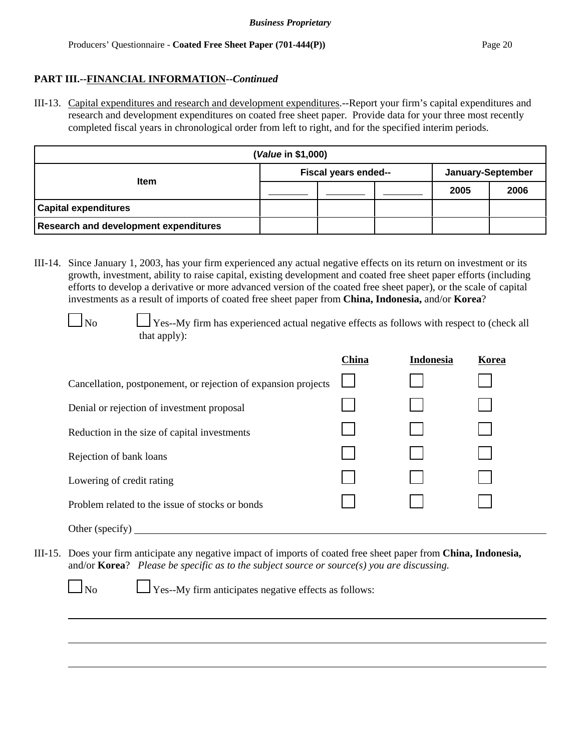# **PART III.--FINANCIAL INFORMATION--***Continued*

III-13. Capital expenditures and research and development expenditures.--Report your firm's capital expenditures and research and development expenditures on coated free sheet paper. Provide data for your three most recently completed fiscal years in chronological order from left to right, and for the specified interim periods.

| ( <i>Value</i> in \$1,000)                   |                      |  |  |                   |      |  |
|----------------------------------------------|----------------------|--|--|-------------------|------|--|
| <b>Item</b>                                  | Fiscal years ended-- |  |  | January-September |      |  |
|                                              |                      |  |  | 2005              | 2006 |  |
| <b>Capital expenditures</b>                  |                      |  |  |                   |      |  |
| <b>Research and development expenditures</b> |                      |  |  |                   |      |  |

III-14. Since January 1, 2003, has your firm experienced any actual negative effects on its return on investment or its growth, investment, ability to raise capital, existing development and coated free sheet paper efforts (including efforts to develop a derivative or more advanced version of the coated free sheet paper), or the scale of capital investments as a result of imports of coated free sheet paper from **China, Indonesia,** and/or **Korea**?

 $\Box$  No  $\Box$  Yes--My firm has experienced actual negative effects as follows with respect to (check all that apply):

|                                                                | China | <b>Indonesia</b> | Korea |
|----------------------------------------------------------------|-------|------------------|-------|
| Cancellation, postponement, or rejection of expansion projects |       |                  |       |
| Denial or rejection of investment proposal                     |       |                  |       |
| Reduction in the size of capital investments                   |       |                  |       |
| Rejection of bank loans                                        |       |                  |       |
| Lowering of credit rating                                      |       |                  |       |
| Problem related to the issue of stocks or bonds                |       |                  |       |
| $\sim$ $\sim$ $\sim$ $\sim$ $\sim$ $\sim$                      |       |                  |       |

- Other (specify)
- III-15. Does your firm anticipate any negative impact of imports of coated free sheet paper from **China, Indonesia,** and/or **Korea**? *Please be specific as to the subject source or source(s) you are discussing.*

 $\Box$  No  $\Box$  Yes--My firm anticipates negative effects as follows: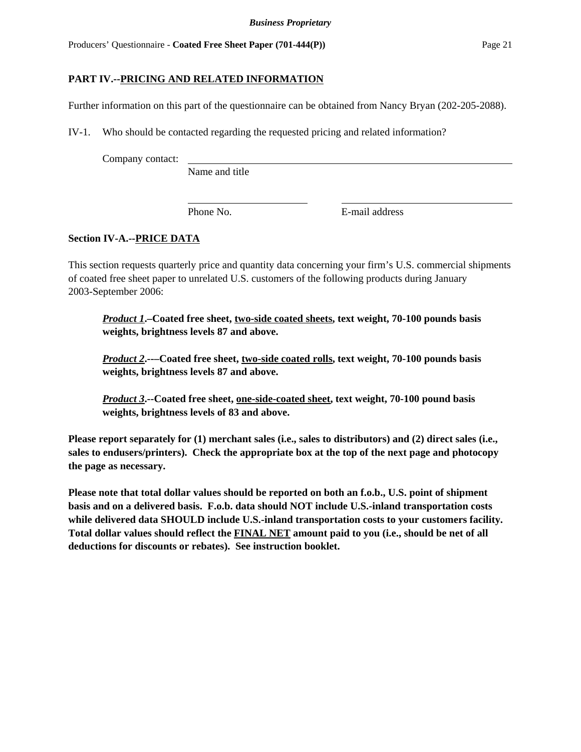# **PART IV.--PRICING AND RELATED INFORMATION**

Further information on this part of the questionnaire can be obtained from Nancy Bryan (202-205-2088).

IV-1. Who should be contacted regarding the requested pricing and related information?

Company contact:

Name and title

Phone No. **E**-mail address

# **Section IV-A.--PRICE DATA**

This section requests quarterly price and quantity data concerning your firm's U.S. commercial shipments of coated free sheet paper to unrelated U.S. customers of the following products during January 2003-September 2006:

*Product 1***.–Coated free sheet, two-side coated sheets, text weight, 70-100 pounds basis weights, brightness levels 87 and above.**

*Product 2***.--–Coated free sheet, two-side coated rolls, text weight, 70-100 pounds basis weights, brightness levels 87 and above.**

*Product 3***.--Coated free sheet, one-side-coated sheet, text weight, 70-100 pound basis weights, brightness levels of 83 and above.**

**Please report separately for (1) merchant sales (i.e., sales to distributors) and (2) direct sales (i.e., sales to endusers/printers). Check the appropriate box at the top of the next page and photocopy the page as necessary.**

**Please note that total dollar values should be reported on both an f.o.b., U.S. point of shipment basis and on a delivered basis. F.o.b. data should NOT include U.S.-inland transportation costs while delivered data SHOULD include U.S.-inland transportation costs to your customers facility. Total dollar values should reflect the FINAL NET amount paid to you (i.e., should be net of all deductions for discounts or rebates). See instruction booklet.**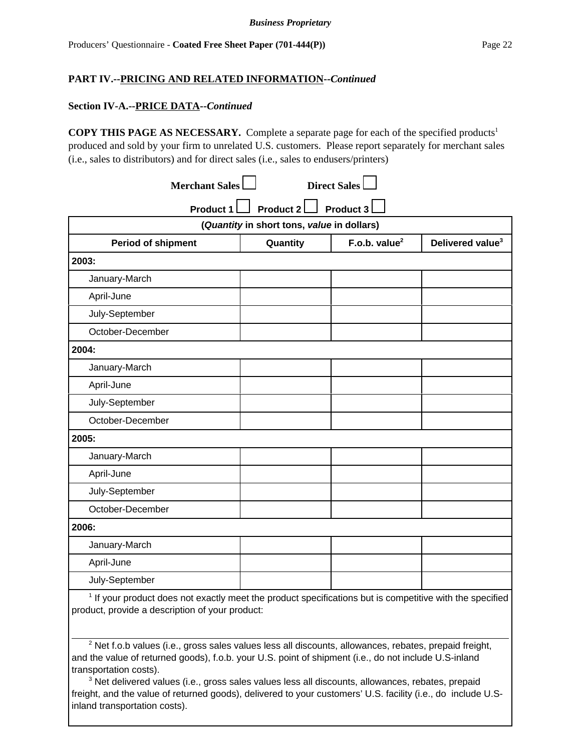#### **Section IV-A.--PRICE DATA--***Continued*

**COPY THIS PAGE AS NECESSARY.** Complete a separate page for each of the specified products<sup>1</sup> produced and sold by your firm to unrelated U.S. customers. Please report separately for merchant sales (i.e., sales to distributors) and for direct sales (i.e., sales to endusers/printers)

| <b>Merchant Sales</b>                                                                                      |                                            | <b>Direct Sales</b> |                              |  |  |
|------------------------------------------------------------------------------------------------------------|--------------------------------------------|---------------------|------------------------------|--|--|
| Product 2<br>Product 3<br><b>Product 1</b>                                                                 |                                            |                     |                              |  |  |
|                                                                                                            | (Quantity in short tons, value in dollars) |                     |                              |  |  |
| <b>Period of shipment</b>                                                                                  | Quantity                                   | F.o.b. value $2$    | Delivered value <sup>3</sup> |  |  |
| 2003:                                                                                                      |                                            |                     |                              |  |  |
| January-March                                                                                              |                                            |                     |                              |  |  |
| April-June                                                                                                 |                                            |                     |                              |  |  |
| July-September                                                                                             |                                            |                     |                              |  |  |
| October-December                                                                                           |                                            |                     |                              |  |  |
| 2004:                                                                                                      |                                            |                     |                              |  |  |
| January-March                                                                                              |                                            |                     |                              |  |  |
| April-June                                                                                                 |                                            |                     |                              |  |  |
| July-September                                                                                             |                                            |                     |                              |  |  |
| October-December                                                                                           |                                            |                     |                              |  |  |
| 2005:                                                                                                      |                                            |                     |                              |  |  |
| January-March                                                                                              |                                            |                     |                              |  |  |
| April-June                                                                                                 |                                            |                     |                              |  |  |
| July-September                                                                                             |                                            |                     |                              |  |  |
| October-December                                                                                           |                                            |                     |                              |  |  |
| 2006:                                                                                                      |                                            |                     |                              |  |  |
| January-March                                                                                              |                                            |                     |                              |  |  |
| April-June                                                                                                 |                                            |                     |                              |  |  |
| July-September                                                                                             |                                            |                     |                              |  |  |
| $1$ If your product does not exactly meet the product epocifications but is competitive with the specified |                                            |                     |                              |  |  |

 If your product does not exactly meet the product specifications but is competitive with the specified product, provide a description of your product:

 $2$  Net f.o.b values (i.e., gross sales values less all discounts, allowances, rebates, prepaid freight, and the value of returned goods), f.o.b. your U.S. point of shipment (i.e., do not include U.S-inland transportation costs).

<sup>3</sup> Net delivered values (i.e., gross sales values less all discounts, allowances, rebates, prepaid freight, and the value of returned goods), delivered to your customers' U.S. facility (i.e., do include U.Sinland transportation costs).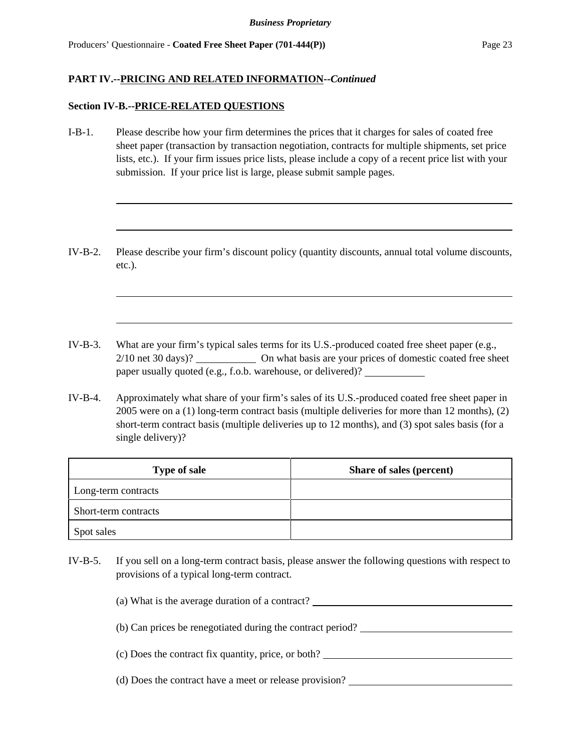#### **Section IV-B.--PRICE-RELATED QUESTIONS**

- I-B-1. Please describe how your firm determines the prices that it charges for sales of coated free sheet paper (transaction by transaction negotiation, contracts for multiple shipments, set price lists, etc.). If your firm issues price lists, please include a copy of a recent price list with your submission. If your price list is large, please submit sample pages.
- IV-B-2. Please describe your firm's discount policy (quantity discounts, annual total volume discounts, etc.).
- IV-B-3. What are your firm's typical sales terms for its U.S.-produced coated free sheet paper (e.g., 2/10 net 30 days)? On what basis are your prices of domestic coated free sheet paper usually quoted (e.g., f.o.b. warehouse, or delivered)?
- IV-B-4. Approximately what share of your firm's sales of its U.S.-produced coated free sheet paper in 2005 were on a (1) long-term contract basis (multiple deliveries for more than 12 months), (2) short-term contract basis (multiple deliveries up to 12 months), and (3) spot sales basis (for a single delivery)?

| <b>Type of sale</b>  | Share of sales (percent) |
|----------------------|--------------------------|
| Long-term contracts  |                          |
| Short-term contracts |                          |
| Spot sales           |                          |

IV-B-5. If you sell on a long-term contract basis, please answer the following questions with respect to provisions of a typical long-term contract.

(a) What is the average duration of a contract?

(b) Can prices be renegotiated during the contract period?

(c) Does the contract fix quantity, price, or both?

(d) Does the contract have a meet or release provision?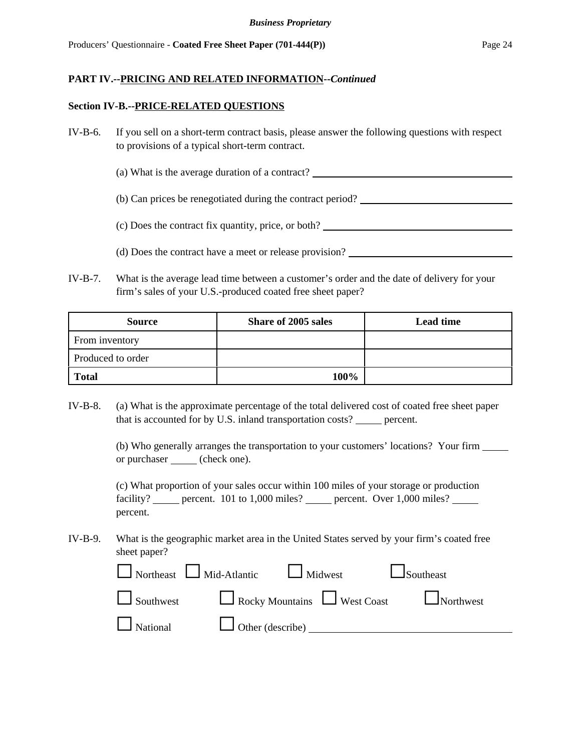#### **Section IV-B.--PRICE-RELATED QUESTIONS**

- IV-B-6. If you sell on a short-term contract basis, please answer the following questions with respect to provisions of a typical short-term contract.
	- (a) What is the average duration of a contract?
	- (b) Can prices be renegotiated during the contract period?
	- (c) Does the contract fix quantity, price, or both?
	- (d) Does the contract have a meet or release provision?
- IV-B-7. What is the average lead time between a customer's order and the date of delivery for your firm's sales of your U.S.-produced coated free sheet paper?

| <b>Source</b>     | Share of 2005 sales | <b>Lead time</b> |
|-------------------|---------------------|------------------|
| From inventory    |                     |                  |
| Produced to order |                     |                  |
| <b>Total</b>      | 100%                |                  |

IV-B-8. (a) What is the approximate percentage of the total delivered cost of coated free sheet paper that is accounted for by U.S. inland transportation costs? \_\_\_\_\_ percent.

> (b) Who generally arranges the transportation to your customers' locations? Your firm or purchaser (check one).

(c) What proportion of your sales occur within 100 miles of your storage or production facility? percent. 101 to 1,000 miles? percent. Over 1,000 miles? percent.

IV-B-9. What is the geographic market area in the United States served by your firm's coated free sheet paper?

|  | $\Box$ Northeast $\Box$ Mid-Atlantic $\Box$ Midwest | $\Box$ Southeast                                                           |
|--|-----------------------------------------------------|----------------------------------------------------------------------------|
|  |                                                     | $\Box$ Southwest $\Box$ Rocky Mountains $\Box$ West Coast $\Box$ Northwest |
|  | National U Other (describe) 2000                    |                                                                            |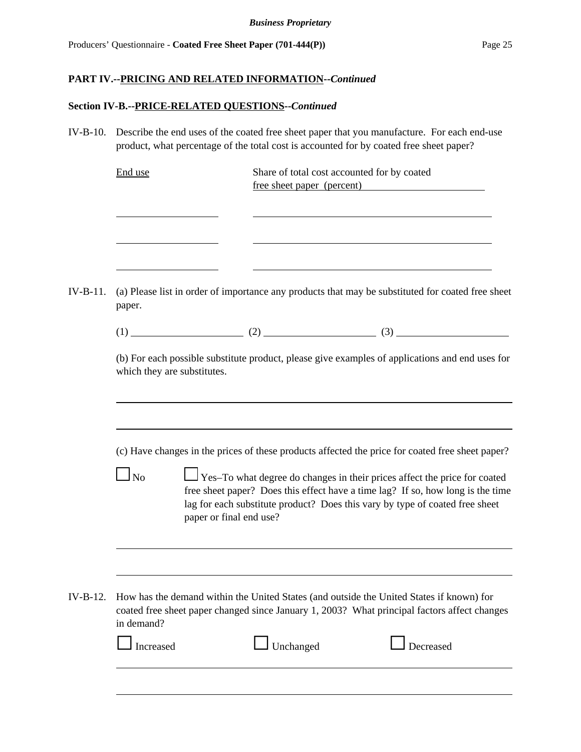# **Section IV-B.--PRICE-RELATED QUESTIONS--***Continued*

| $IV-B-10.$ | Describe the end uses of the coated free sheet paper that you manufacture. For each end-use<br>product, what percentage of the total cost is accounted for by coated free sheet paper?                                                                                                                                                                                                   |
|------------|------------------------------------------------------------------------------------------------------------------------------------------------------------------------------------------------------------------------------------------------------------------------------------------------------------------------------------------------------------------------------------------|
|            | Share of total cost accounted for by coated<br>End use<br>free sheet paper (percent)                                                                                                                                                                                                                                                                                                     |
| $IV-B-11.$ | (a) Please list in order of importance any products that may be substituted for coated free sheet<br>paper.                                                                                                                                                                                                                                                                              |
|            |                                                                                                                                                                                                                                                                                                                                                                                          |
|            | (b) For each possible substitute product, please give examples of applications and end uses for<br>which they are substitutes.                                                                                                                                                                                                                                                           |
|            | (c) Have changes in the prices of these products affected the price for coated free sheet paper?<br>Yes-To what degree do changes in their prices affect the price for coated<br>$\Box$ No<br>free sheet paper? Does this effect have a time lag? If so, how long is the time<br>lag for each substitute product? Does this vary by type of coated free sheet<br>paper or final end use? |
| $IV-B-12.$ | How has the demand within the United States (and outside the United States if known) for<br>coated free sheet paper changed since January 1, 2003? What principal factors affect changes<br>in demand?<br>Decreased<br>Increased<br>Unchanged                                                                                                                                            |
|            |                                                                                                                                                                                                                                                                                                                                                                                          |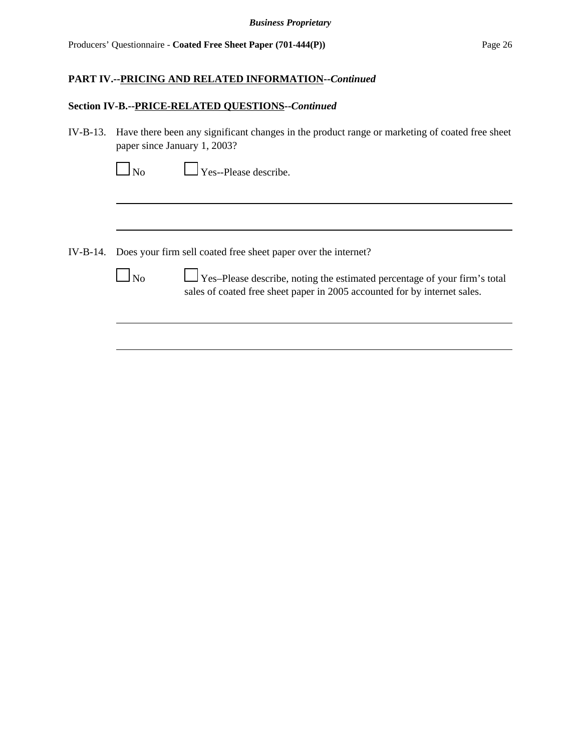### **Section IV-B.--PRICE-RELATED QUESTIONS--***Continued*

| IV-B-13. Have there been any significant changes in the product range or marketing of coated free sheet |
|---------------------------------------------------------------------------------------------------------|
| paper since January 1, 2003?                                                                            |

|--|

 $\Box$  Yes--Please describe.

- IV-B-14. Does your firm sell coated free sheet paper over the internet?
	-

No Yes–Please describe, noting the estimated percentage of your firm's total sales of coated free sheet paper in 2005 accounted for by internet sales.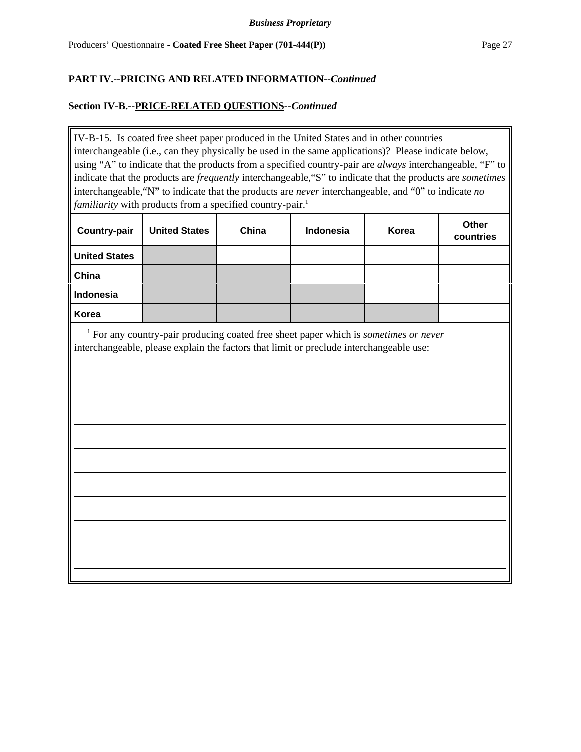### **Section IV-B.--PRICE-RELATED QUESTIONS--***Continued*

IV-B-15. Is coated free sheet paper produced in the United States and in other countries interchangeable (i.e., can they physically be used in the same applications)? Please indicate below, using "A" to indicate that the products from a specified country-pair are *always* interchangeable, "F" to indicate that the products are *frequently* interchangeable,"S" to indicate that the products are *sometimes* interchangeable,"N" to indicate that the products are *never* interchangeable, and "0" to indicate *no familiarity* with products from a specified country-pair.<sup>1</sup>

| <b>Country-pair</b>  | <b>United States</b> | China | Indonesia | Korea | Other<br>countries |
|----------------------|----------------------|-------|-----------|-------|--------------------|
| <b>United States</b> |                      |       |           |       |                    |
| China                |                      |       |           |       |                    |
| <b>Indonesia</b>     |                      |       |           |       |                    |
| Korea                |                      |       |           |       |                    |

 <sup>1</sup> For any country-pair producing coated free sheet paper which is *sometimes or never* interchangeable, please explain the factors that limit or preclude interchangeable use: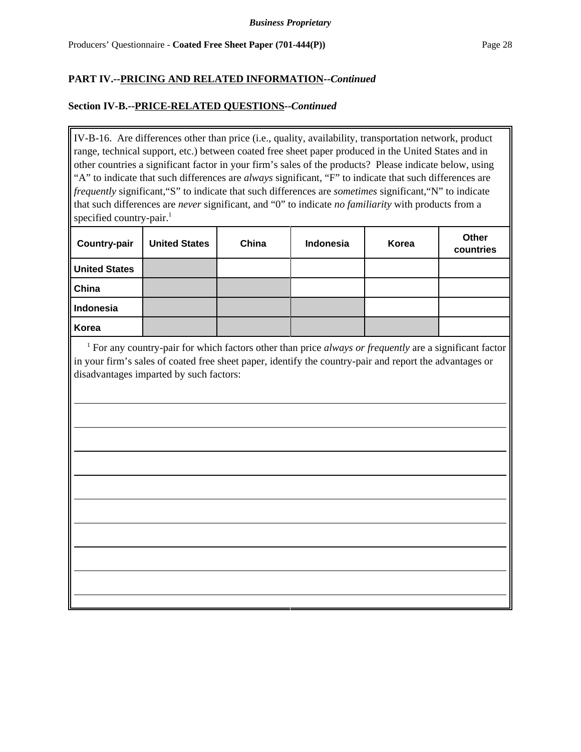### **Section IV-B.--PRICE-RELATED QUESTIONS--***Continued*

IV-B-16. Are differences other than price (i.e., quality, availability, transportation network, product range, technical support, etc.) between coated free sheet paper produced in the United States and in other countries a significant factor in your firm's sales of the products? Please indicate below, using "A" to indicate that such differences are *always* significant, "F" to indicate that such differences are *frequently* significant,"S" to indicate that such differences are *sometimes* significant,"N" to indicate that such differences are *never* significant, and "0" to indicate *no familiarity* with products from a specified country-pair. $<sup>1</sup>$ </sup>

| <b>Country-pair</b>  | <b>United States</b> | China | Indonesia | Korea | Other<br>countries |
|----------------------|----------------------|-------|-----------|-------|--------------------|
| <b>United States</b> |                      |       |           |       |                    |
| China                |                      |       |           |       |                    |
| Indonesia            |                      |       |           |       |                    |
| Korea                |                      |       |           |       |                    |

<sup>1</sup> For any country-pair for which factors other than price *always or frequently* are a significant factor in your firm's sales of coated free sheet paper, identify the country-pair and report the advantages or disadvantages imparted by such factors: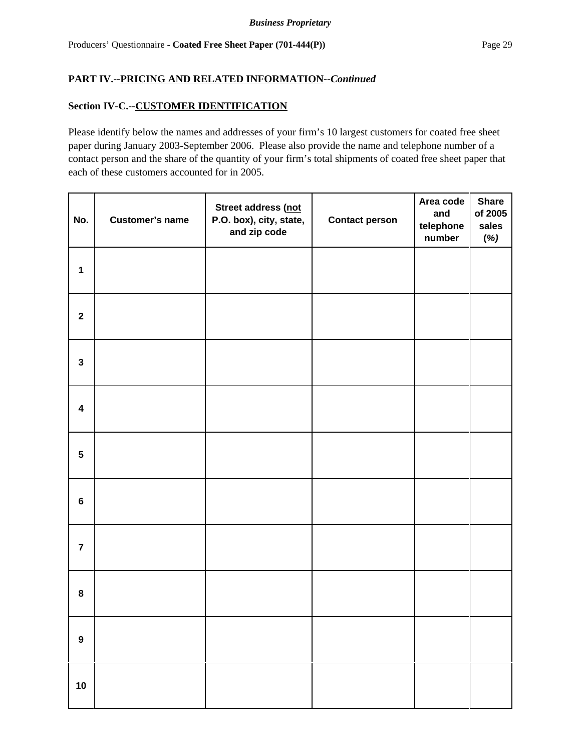## **Section IV-C.--CUSTOMER IDENTIFICATION**

Please identify below the names and addresses of your firm's 10 largest customers for coated free sheet paper during January 2003-September 2006. Please also provide the name and telephone number of a contact person and the share of the quantity of your firm's total shipments of coated free sheet paper that each of these customers accounted for in 2005.

| No.                     | <b>Customer's name</b> | Street address (not<br>P.O. box), city, state,<br>and zip code | <b>Contact person</b> | Area code<br>and<br>telephone<br>number | <b>Share</b><br>of 2005<br>sales<br>(%) |
|-------------------------|------------------------|----------------------------------------------------------------|-----------------------|-----------------------------------------|-----------------------------------------|
| $\mathbf{1}$            |                        |                                                                |                       |                                         |                                         |
| $\mathbf{2}$            |                        |                                                                |                       |                                         |                                         |
| $\mathbf{3}$            |                        |                                                                |                       |                                         |                                         |
| $\overline{\mathbf{4}}$ |                        |                                                                |                       |                                         |                                         |
| $5\phantom{.0}$         |                        |                                                                |                       |                                         |                                         |
| $\bf 6$                 |                        |                                                                |                       |                                         |                                         |
| $\overline{7}$          |                        |                                                                |                       |                                         |                                         |
| ${\bf 8}$               |                        |                                                                |                       |                                         |                                         |
| $\boldsymbol{9}$        |                        |                                                                |                       |                                         |                                         |
| $10$                    |                        |                                                                |                       |                                         |                                         |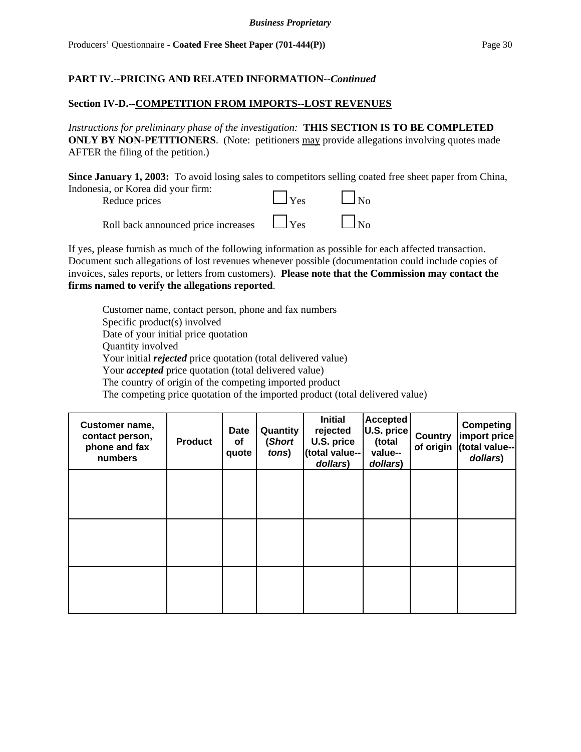### **Section IV-D.--COMPETITION FROM IMPORTS--LOST REVENUES**

*Instructions for preliminary phase of the investigation:* **THIS SECTION IS TO BE COMPLETED ONLY BY NON-PETITIONERS.** (Note: petitioners may provide allegations involving quotes made AFTER the filing of the petition.)

**Since January 1, 2003:** To avoid losing sales to competitors selling coated free sheet paper from China, Indonesia, or Korea did your firm:



If yes, please furnish as much of the following information as possible for each affected transaction. Document such allegations of lost revenues whenever possible (documentation could include copies of invoices, sales reports, or letters from customers). **Please note that the Commission may contact the firms named to verify the allegations reported**.

Customer name, contact person, phone and fax numbers Specific product(s) involved Date of your initial price quotation Quantity involved Your initial *rejected* price quotation (total delivered value) Your *accepted* price quotation (total delivered value) The country of origin of the competing imported product The competing price quotation of the imported product (total delivered value)

| Customer name,<br>contact person,<br>phone and fax<br>numbers | <b>Product</b> | <b>Date</b><br>оf<br>quote | Quantity<br>(Short<br>tons) | <b>Initial</b><br>rejected<br>U.S. price<br>(total value--<br>dollars) | <b>Accepted</b><br>U.S. price<br>(total<br>value--<br>dollars) | <b>Country</b><br>of origin | <b>Competing</b><br>import price<br>(total value--<br>dollars) |
|---------------------------------------------------------------|----------------|----------------------------|-----------------------------|------------------------------------------------------------------------|----------------------------------------------------------------|-----------------------------|----------------------------------------------------------------|
|                                                               |                |                            |                             |                                                                        |                                                                |                             |                                                                |
|                                                               |                |                            |                             |                                                                        |                                                                |                             |                                                                |
|                                                               |                |                            |                             |                                                                        |                                                                |                             |                                                                |